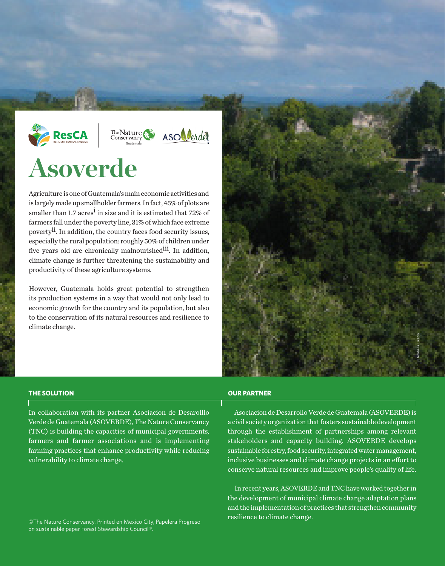



## **Asoverde**

Agriculture is one of Guatemala's main economic activities and is largely made up smallholder farmers. In fact, 45% of plots are smaller than 1.7 acres<sup>i</sup> in size and it is estimated that 72% of farmers fall under the poverty line, 31% of which face extreme poverty<sup>ii</sup>. In addition, the country faces food security issues, especially the rural population: roughly 50% of children under five years old are chronically malnourished<sup>iii</sup>. In addition, climate change is further threatening the sustainability and productivity of these agriculture systems.

However, Guatemala holds great potential to strengthen its production systems in a way that would not only lead to economic growth for the country and its population, but also to the conservation of its natural resources and resilience to climate change.



## **THE SOLUTION OUR PARTNER**

Asociacion de Desarrollo Verde de Guatemala (ASOVERDE) is a civil society organization that fosters sustainable development through the establishment of partnerships among relevant stakeholders and capacity building. ASOVERDE develops sustainable forestry, food security, integrated water management, inclusive businesses and climate change projects in an effort to conserve natural resources and improve people's quality of life.

In recent years, ASOVERDE and TNC have worked together in the development of municipal climate change adaptation plans and the implementation of practices that strengthen community resilience to climate change.

In collaboration with its partner Asociacion de Desarolllo Verde de Guatemala (ASOVERDE), The Nature Conservancy (TNC) is building the capacities of municipal governments, farmers and farmer associations and is implementing farming practices that enhance productivity while reducing vulnerability to climate change.

©The Nature Conservancy. Printed en Mexico City, Papelera Progreso on sustainable paper Forest Stewardship Council®.